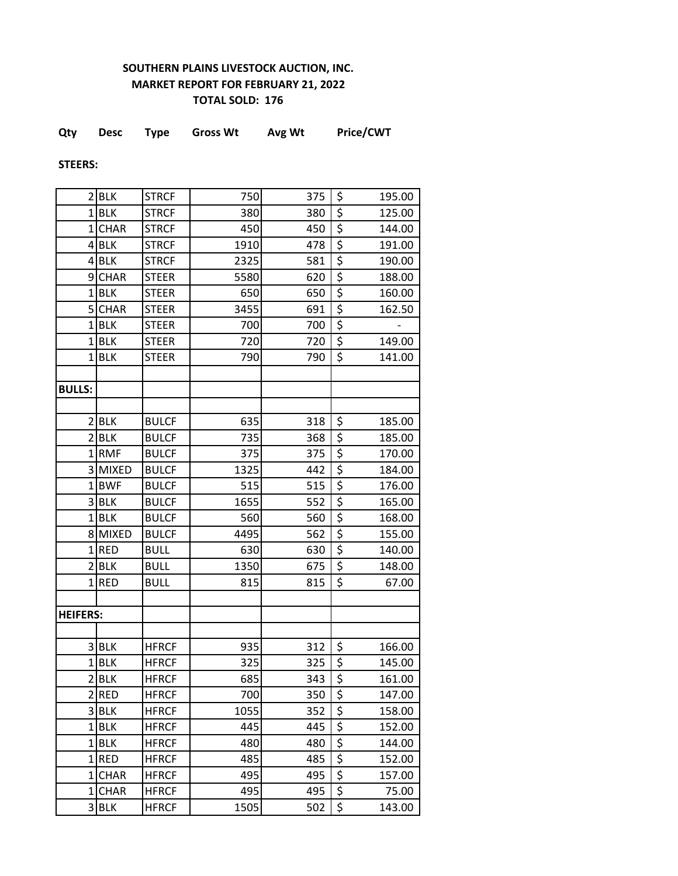## **SOUTHERN PLAINS LIVESTOCK AUCTION, INC. MARKET REPORT FOR FEBRUARY 21, 2022 TOTAL SOLD: 176**

|  | Qty | <b>Desc</b> | Type | <b>Gross Wt</b> | Avg Wt | <b>Price/CWT</b> |
|--|-----|-------------|------|-----------------|--------|------------------|
|--|-----|-------------|------|-----------------|--------|------------------|

**STEERS:**

|                 | 2 BLK       | <b>STRCF</b> | 750  | 375 | \$                              | 195.00 |
|-----------------|-------------|--------------|------|-----|---------------------------------|--------|
|                 | $1$ BLK     | <b>STRCF</b> | 380  | 380 | \$                              | 125.00 |
| 1 <sup>1</sup>  | <b>CHAR</b> | <b>STRCF</b> | 450  | 450 | \$                              | 144.00 |
|                 | $4$ BLK     | <b>STRCF</b> | 1910 | 478 | \$                              | 191.00 |
|                 | $4$ BLK     | <b>STRCF</b> | 2325 | 581 | \$                              | 190.00 |
| $\mathsf{g}$    | <b>CHAR</b> | <b>STEER</b> | 5580 | 620 | \$                              | 188.00 |
|                 | $1$ BLK     | <b>STEER</b> | 650  | 650 | \$                              | 160.00 |
| 5               | <b>CHAR</b> | <b>STEER</b> | 3455 | 691 | \$                              | 162.50 |
|                 | $1$ BLK     | <b>STEER</b> | 700  | 700 | \$                              |        |
|                 | $1$ BLK     | <b>STEER</b> | 720  | 720 | \$                              | 149.00 |
|                 | $1$ BLK     | <b>STEER</b> | 790  | 790 | \$                              | 141.00 |
|                 |             |              |      |     |                                 |        |
| <b>BULLS:</b>   |             |              |      |     |                                 |        |
|                 |             |              |      |     |                                 |        |
|                 | 2 BLK       | <b>BULCF</b> | 635  | 318 | \$                              | 185.00 |
|                 | 2 BLK       | <b>BULCF</b> | 735  | 368 | \$                              | 185.00 |
|                 | 1RMF        | <b>BULCF</b> | 375  | 375 | \$                              | 170.00 |
|                 | 3 MIXED     | <b>BULCF</b> | 1325 | 442 | \$                              | 184.00 |
|                 | 1BWF        | <b>BULCF</b> | 515  | 515 | \$                              | 176.00 |
|                 | 3BLK        | <b>BULCF</b> | 1655 | 552 | \$                              | 165.00 |
|                 | $1$ BLK     | <b>BULCF</b> | 560  | 560 | \$                              | 168.00 |
|                 | 8 MIXED     | <b>BULCF</b> | 4495 | 562 | \$                              | 155.00 |
|                 | $1$ RED     | <b>BULL</b>  | 630  | 630 | \$                              | 140.00 |
|                 | 2 BLK       | <b>BULL</b>  | 1350 | 675 | \$                              | 148.00 |
|                 | $1$ RED     | <b>BULL</b>  | 815  | 815 | \$                              | 67.00  |
|                 |             |              |      |     |                                 |        |
| <b>HEIFERS:</b> |             |              |      |     |                                 |        |
|                 |             |              |      |     |                                 |        |
|                 | 3BLK        | <b>HFRCF</b> | 935  | 312 | \$                              | 166.00 |
| $\mathbf{1}$    | <b>BLK</b>  | <b>HFRCF</b> | 325  | 325 | $\overline{\boldsymbol{\zeta}}$ | 145.00 |
|                 | 2 BLK       | <b>HFRCF</b> | 685  | 343 | \$                              | 161.00 |
|                 | 2RED        | <b>HFRCF</b> | 700  | 350 | \$                              | 147.00 |
|                 | 3BLK        | <b>HFRCF</b> | 1055 | 352 | \$                              | 158.00 |
|                 | $1$ BLK     | <b>HFRCF</b> | 445  | 445 | \$                              | 152.00 |
|                 | $1$ BLK     | <b>HFRCF</b> | 480  | 480 | \$                              | 144.00 |
|                 | $1$ RED     | <b>HFRCF</b> | 485  | 485 | \$                              | 152.00 |
|                 | 1CHAR       | <b>HFRCF</b> | 495  | 495 | \$                              | 157.00 |
|                 | 1CHAR       | <b>HFRCF</b> | 495  | 495 | \$                              | 75.00  |
|                 | 3BLK        | <b>HFRCF</b> | 1505 | 502 | \$                              | 143.00 |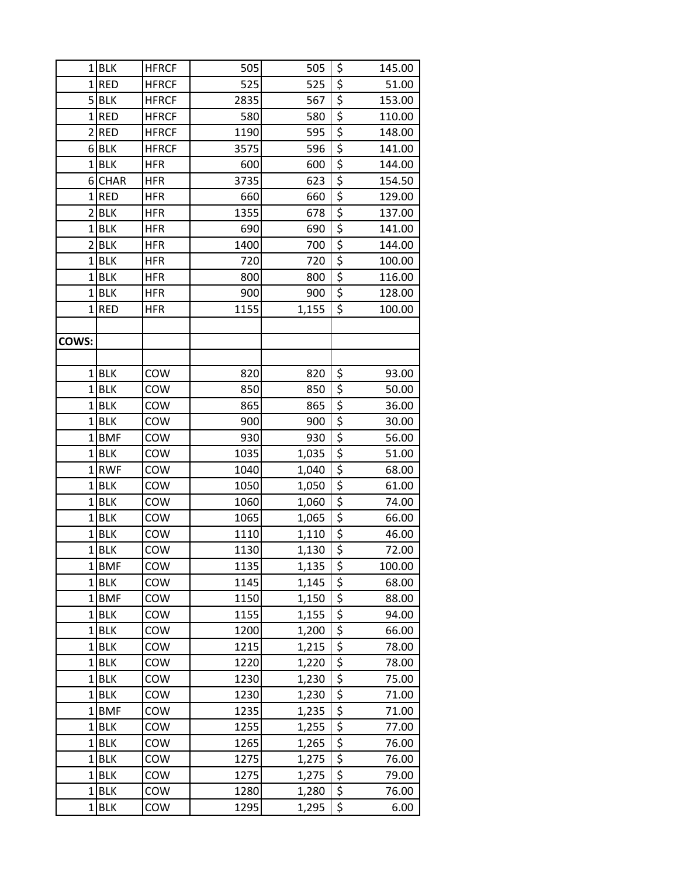| 1              | BLK                | <b>HFRCF</b> | 505          | 505            | \$                              | 145.00         |
|----------------|--------------------|--------------|--------------|----------------|---------------------------------|----------------|
|                | $1$ RED            | <b>HFRCF</b> | 525          | 525            | $\overline{\boldsymbol{\zeta}}$ | 51.00          |
|                | $5$ BLK            | <b>HFRCF</b> | 2835         | 567            | $\overline{\xi}$                | 153.00         |
|                | $1$ RED            | <b>HFRCF</b> | 580          | 580            | $\overline{\boldsymbol{\zeta}}$ | 110.00         |
| $\overline{2}$ | <b>RED</b>         | <b>HFRCF</b> | 1190         | 595            | $\overline{\xi}$                | 148.00         |
| 6              | <b>BLK</b>         | <b>HFRCF</b> | 3575         | 596            | $\overline{\xi}$                | 141.00         |
|                | $1$ BLK            | <b>HFR</b>   | 600          | 600            | $\overline{\xi}$                | 144.00         |
| 6              | <b>CHAR</b>        | <b>HFR</b>   | 3735         | 623            | $\overline{\xi}$                | 154.50         |
|                | $1$ RED            | <b>HFR</b>   | 660          | 660            | \$                              | 129.00         |
| $\overline{2}$ | <b>BLK</b>         | <b>HFR</b>   | 1355         | 678            | $\overline{\xi}$                | 137.00         |
| 1              | <b>BLK</b>         | <b>HFR</b>   | 690          | 690            | $\overline{\xi}$                | 141.00         |
| $\overline{2}$ | <b>BLK</b>         | <b>HFR</b>   | 1400         | 700            | $\overline{\boldsymbol{\xi}}$   | 144.00         |
| $\mathbf{1}$   | <b>BLK</b>         | <b>HFR</b>   | 720          | 720            | \$                              | 100.00         |
| $\mathbf{1}$   | <b>BLK</b>         | <b>HFR</b>   | 800          | 800            | $\overline{\xi}$                | 116.00         |
| 1              | <b>BLK</b>         | <b>HFR</b>   | 900          | 900            | $\overline{\xi}$                | 128.00         |
|                | $1$ RED            | <b>HFR</b>   | 1155         | 1,155          | \$                              | 100.00         |
|                |                    |              |              |                |                                 |                |
| COWS:          |                    |              |              |                |                                 |                |
|                |                    |              |              |                |                                 |                |
| $\mathbf 1$    | <b>BLK</b>         | COW          | 820          | 820            | $\overline{\boldsymbol{\zeta}}$ | 93.00          |
|                | $1$ BLK            | COW          | 850          | 850            | \$                              | 50.00          |
| $\mathbf{1}$   | <b>BLK</b>         | COW          | 865          | 865            | $\frac{5}{5}$                   | 36.00          |
|                | $1$ BLK            | COW          | 900          | 900            |                                 | 30.00          |
|                | 1BMF               | COW          | 930          | 930            | $\overline{\xi}$                | 56.00          |
| 1              | <b>BLK</b>         | COW          | 1035         | 1,035          | $\overline{\xi}$                | 51.00          |
|                | 1RWF               | COW          | 1040         | 1,040          | $\overline{\xi}$                | 68.00          |
|                | $1$ BLK            | COW          | 1050         | 1,050          | $\overline{\xi}$                | 61.00          |
|                | $1$ BLK            | COW          | 1060         | 1,060          | \$                              | 74.00          |
|                | $1$ BLK            | COW          | 1065         | 1,065          | $\overline{\xi}$                | 66.00          |
| 1              | <b>BLK</b>         | COW          | 1110         | 1,110          | $\overline{\xi}$                | 46.00          |
|                | 1BLK               | COW          | 1130         | 1,130          | $\overline{\xi}$                | 72.00          |
| 1              | BMF                | COW          | 1135         | 1,135          | \$                              | 100.00         |
|                | $1$ BLK            | COW          | 1145         | 1,145          | $\overline{\xi}$                | 68.00          |
|                | 1BMF               | COW          | 1150         | 1,150          | $\overline{\boldsymbol{\zeta}}$ | 88.00          |
|                | $1$ BLK<br>$1$ BLK | COW<br>COW   | 1155<br>1200 | 1,155<br>1,200 | \$<br>$\overline{\xi}$          | 94.00<br>66.00 |
| 1              | BLK                | COW          | 1215         | 1,215          | $\overline{\boldsymbol{\zeta}}$ | 78.00          |
|                | $1$ BLK            | COW          | 1220         | 1,220          | $\overline{\xi}$                | 78.00          |
|                | $1$ BLK            | COW          | 1230         | 1,230          | \$                              | 75.00          |
|                | $1$ BLK            | COW          | 1230         | 1,230          | \$                              | 71.00          |
|                | 1BMF               | COW          | 1235         | 1,235          | \$                              | 71.00          |
|                | $1$ BLK            | COW          | 1255         | 1,255          | $\overline{\xi}$                | 77.00          |
|                | $1$ BLK            | COW          | 1265         | 1,265          | \$                              | 76.00          |
| 1              | BLK                | COW          | 1275         | 1,275          | $\overline{\xi}$                | 76.00          |
|                | $1$ BLK            | COW          | 1275         | 1,275          | $\overline{\xi}$                | 79.00          |
|                | $1$ BLK            | COW          | 1280         | 1,280          | $\overline{\boldsymbol{\zeta}}$ | 76.00          |
|                | $1$ BLK            | COW          | 1295         | 1,295          | \$                              | 6.00           |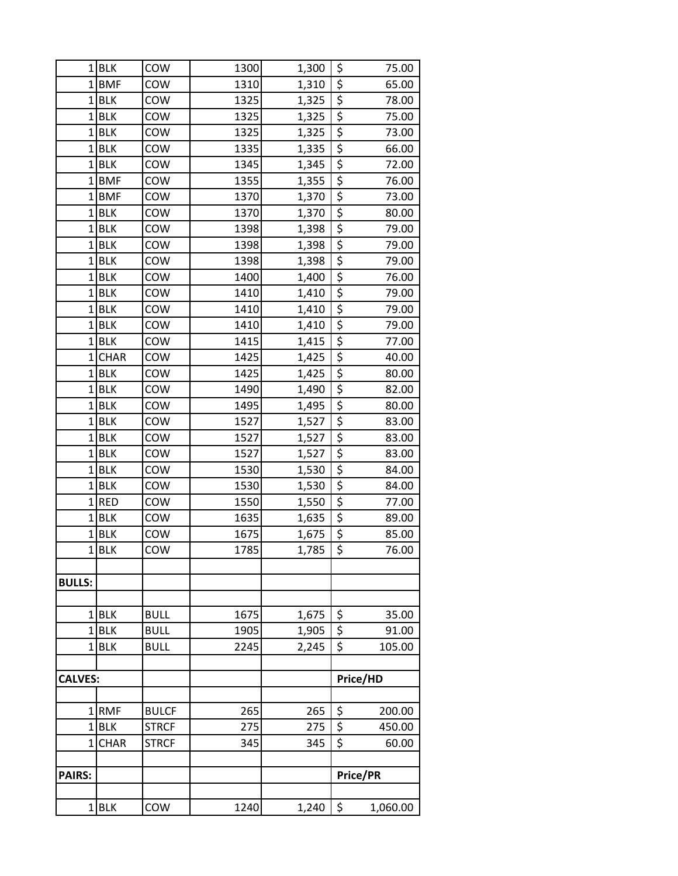|                | $1$ BLK        | COW          | 1300 | 1,300 | \$                                  | 75.00    |
|----------------|----------------|--------------|------|-------|-------------------------------------|----------|
|                | $1$ <b>BMF</b> | COW          | 1310 | 1,310 | \$                                  | 65.00    |
|                | $1$ BLK        | COW          | 1325 | 1,325 | $\overline{\xi}$                    | 78.00    |
|                | $1$ BLK        | COW          | 1325 | 1,325 | $\overline{\xi}$                    | 75.00    |
| $1\vert$       | <b>BLK</b>     | COW          | 1325 | 1,325 | $\frac{1}{5}$                       | 73.00    |
|                | $1$ BLK        | COW          | 1335 | 1,335 | \$                                  | 66.00    |
|                | $1$ BLK        | COW          | 1345 | 1,345 | \$                                  | 72.00    |
|                | $1$ <b>BMF</b> | COW          | 1355 | 1,355 | $\frac{1}{5}$                       | 76.00    |
|                | $1$ BMF        | COW          | 1370 | 1,370 | $\overline{\xi}$                    | 73.00    |
| $1\vert$       | <b>BLK</b>     | COW          | 1370 | 1,370 | $rac{5}{5}$                         | 80.00    |
|                | $1$ BLK        | COW          | 1398 | 1,398 |                                     | 79.00    |
|                | $1$ BLK        | COW          | 1398 | 1,398 | $\overline{\xi}$                    | 79.00    |
| 1              | BLK            | COW          | 1398 | 1,398 | $\overline{\xi}$                    | 79.00    |
|                | $1$ BLK        | COW          | 1400 | 1,400 | $\overline{\boldsymbol{\zeta}}$     | 76.00    |
| $\mathbf{1}$   | <b>BLK</b>     | COW          | 1410 | 1,410 | $\frac{1}{5}$                       | 79.00    |
|                | $1$ BLK        | COW          | 1410 | 1,410 | $\overline{\xi}$                    | 79.00    |
|                | $1$ BLK        | COW          | 1410 | 1,410 | $\overline{\xi}$                    | 79.00    |
|                | $1$ BLK        | COW          | 1415 | 1,415 | $rac{5}{5}$                         | 77.00    |
| $\mathbf{1}$   | <b>CHAR</b>    | COW          | 1425 | 1,425 |                                     | 40.00    |
| 1              | BLK            | COW          | 1425 | 1,425 | $\overline{\xi}$                    | 80.00    |
|                | $1$ BLK        | COW          | 1490 | 1,490 | \$                                  | 82.00    |
|                | $1$ BLK        | COW          | 1495 | 1,495 | $\overline{\xi}$                    | 80.00    |
|                | $1$ BLK        | COW          | 1527 | 1,527 | \$                                  | 83.00    |
| $1\vert$       | <b>BLK</b>     | COW          | 1527 | 1,527 | $\overline{\xi}$                    | 83.00    |
| 1              | <b>BLK</b>     | COW          | 1527 | 1,527 | \$                                  | 83.00    |
|                | $1$ BLK        | COW          | 1530 | 1,530 | $\overline{\xi}$                    | 84.00    |
|                | $1$ BLK        | COW          | 1530 | 1,530 | $\frac{1}{5}$                       | 84.00    |
|                | $1$ RED        | COW          | 1550 | 1,550 | $\overline{\xi}$                    | 77.00    |
| $\mathbf{1}$   | <b>BLK</b>     | COW          | 1635 | 1,635 | $\frac{5}{5}$                       | 89.00    |
|                | $1$ BLK        | COW          | 1675 | 1,675 |                                     | 85.00    |
|                | 1BLK           | COW          | 1785 | 1,785 | $\overline{\boldsymbol{\varsigma}}$ | 76.00    |
| <b>BULLS:</b>  |                |              |      |       |                                     |          |
|                |                |              |      |       |                                     |          |
|                | $1$ BLK        | <b>BULL</b>  | 1675 | 1,675 | \$                                  | 35.00    |
|                | 1BLK           | <b>BULL</b>  | 1905 | 1,905 | $\overline{\xi}$                    | 91.00    |
|                | $1$ <b>BLK</b> | <b>BULL</b>  | 2245 | 2,245 | $\overline{\xi}$                    | 105.00   |
|                |                |              |      |       |                                     |          |
| <b>CALVES:</b> |                |              |      |       |                                     | Price/HD |
|                |                |              |      |       |                                     |          |
|                | $1$ RMF        | <b>BULCF</b> | 265  | 265   | \$                                  | 200.00   |
|                | $1$ BLK        | <b>STRCF</b> | 275  | 275   | \$                                  | 450.00   |
| 1 <sup>1</sup> | <b>CHAR</b>    | <b>STRCF</b> | 345  | 345   | $\overline{\boldsymbol{\zeta}}$     | 60.00    |
|                |                |              |      |       |                                     |          |
| <b>PAIRS:</b>  |                |              |      |       |                                     | Price/PR |
|                |                |              |      |       |                                     |          |
|                | $1$ BLK        | COW          | 1240 | 1,240 | $\ddot{\varsigma}$                  | 1,060.00 |